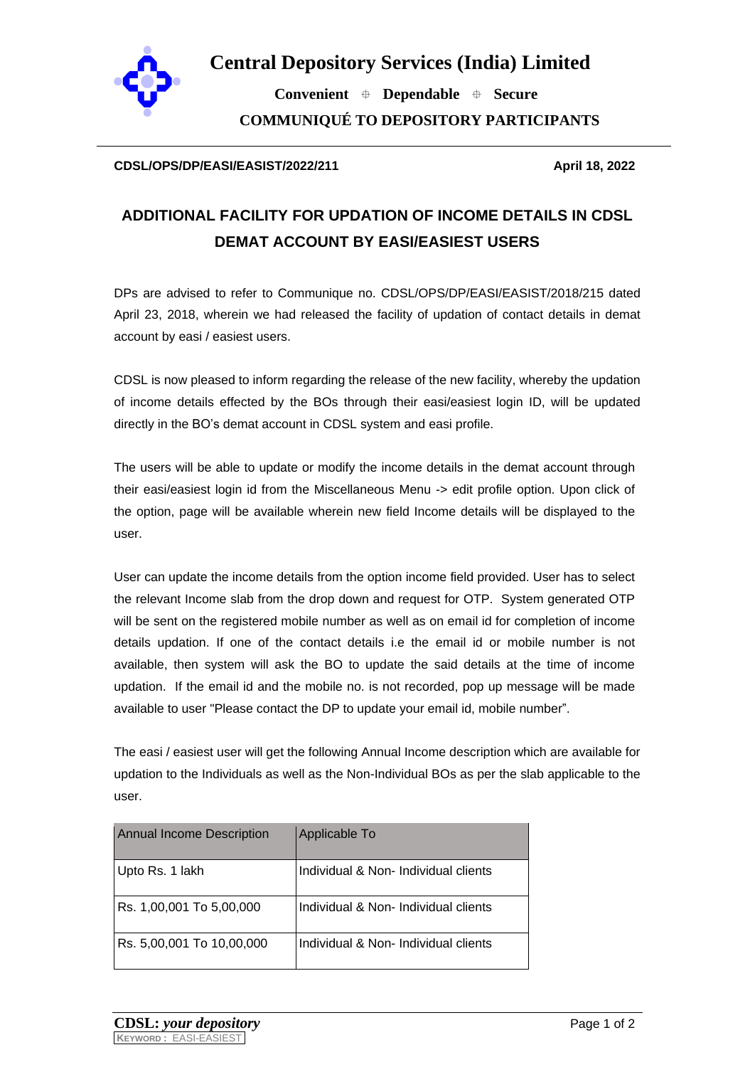

**Central Depository Services (India) Limited**

 **Convenient Dependable Secure COMMUNIQUÉ TO DEPOSITORY PARTICIPANTS**

## **CDSL/OPS/DP/EASI/EASIST/2022/211 April 18, 2022**

## **ADDITIONAL FACILITY FOR UPDATION OF INCOME DETAILS IN CDSL DEMAT ACCOUNT BY EASI/EASIEST USERS**

DPs are advised to refer to Communique no. CDSL/OPS/DP/EASI/EASIST/2018/215 dated April 23, 2018, wherein we had released the facility of updation of contact details in demat account by easi / easiest users.

CDSL is now pleased to inform regarding the release of the new facility, whereby the updation of income details effected by the BOs through their easi/easiest login ID, will be updated directly in the BO's demat account in CDSL system and easi profile.

The users will be able to update or modify the income details in the demat account through their easi/easiest login id from the Miscellaneous Menu -> edit profile option. Upon click of the option, page will be available wherein new field Income details will be displayed to the user.

User can update the income details from the option income field provided. User has to select the relevant Income slab from the drop down and request for OTP. System generated OTP will be sent on the registered mobile number as well as on email id for completion of income details updation. If one of the contact details i.e the email id or mobile number is not available, then system will ask the BO to update the said details at the time of income updation. If the email id and the mobile no. is not recorded, pop up message will be made available to user "Please contact the DP to update your email id, mobile number".

The easi / easiest user will get the following Annual Income description which are available for updation to the Individuals as well as the Non-Individual BOs as per the slab applicable to the user.

| Annual Income Description | Applicable To                        |
|---------------------------|--------------------------------------|
| Upto Rs. 1 lakh           | Individual & Non- Individual clients |
| Rs. 1,00,001 To 5,00,000  | Individual & Non-Individual clients  |
| Rs. 5,00,001 To 10,00,000 | Individual & Non- Individual clients |